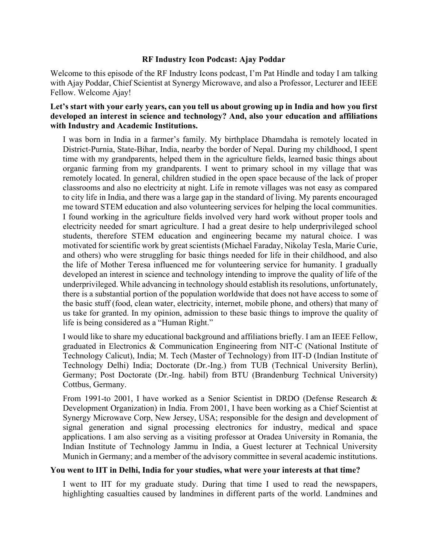# **RF Industry Icon Podcast: Ajay Poddar**

Welcome to this episode of the RF Industry Icons podcast, I'm Pat Hindle and today I am talking with Ajay Poddar, Chief Scientist at Synergy Microwave, and also a Professor, Lecturer and IEEE Fellow. Welcome Ajay!

# **Let's start with your early years, can you tell us about growing up in India and how you first developed an interest in science and technology? And, also your education and affiliations with Industry and Academic Institutions.**

I was born in India in a farmer's family. My birthplace Dhamdaha is remotely located in District-Purnia, State-Bihar, India, nearby the border of Nepal. During my childhood, I spent time with my grandparents, helped them in the agriculture fields, learned basic things about organic farming from my grandparents. I went to primary school in my village that was remotely located. In general, children studied in the open space because of the lack of proper classrooms and also no electricity at night. Life in remote villages was not easy as compared to city life in India, and there was a large gap in the standard of living. My parents encouraged me toward STEM education and also volunteering services for helping the local communities. I found working in the agriculture fields involved very hard work without proper tools and electricity needed for smart agriculture. I had a great desire to help underprivileged school students, therefore STEM education and engineering became my natural choice. I was motivated for scientific work by great scientists (Michael Faraday, Nikolay Tesla, Marie Curie, and others) who were struggling for basic things needed for life in their childhood, and also the life of Mother Teresa influenced me for volunteering service for humanity. I gradually developed an interest in science and technology intending to improve the quality of life of the underprivileged. While advancing in technology should establish its resolutions, unfortunately, there is a substantial portion of the population worldwide that does not have access to some of the basic stuff (food, clean water, electricity, internet, mobile phone, and others) that many of us take for granted. In my opinion, admission to these basic things to improve the quality of life is being considered as a "Human Right."

I would like to share my educational background and affiliations briefly. I am an IEEE Fellow, graduated in Electronics & Communication Engineering from NIT-C (National Institute of Technology Calicut), India; M. Tech (Master of Technology) from IIT-D (Indian Institute of Technology Delhi) India; Doctorate (Dr.-Ing.) from TUB (Technical University Berlin), Germany; Post Doctorate (Dr.-Ing. habil) from BTU (Brandenburg Technical University) Cottbus, Germany.

From 1991-to 2001, I have worked as a Senior Scientist in DRDO (Defense Research & Development Organization) in India. From 2001, I have been working as a Chief Scientist at Synergy Microwave Corp, New Jersey, USA; responsible for the design and development of signal generation and signal processing electronics for industry, medical and space applications. I am also serving as a visiting professor at Oradea University in Romania, the Indian Institute of Technology Jammu in India, a Guest lecturer at Technical University Munich in Germany; and a member of the advisory committee in several academic institutions.

## **You went to IIT in Delhi, India for your studies, what were your interests at that time?**

I went to IIT for my graduate study. During that time I used to read the newspapers, highlighting casualties caused by landmines in different parts of the world. Landmines and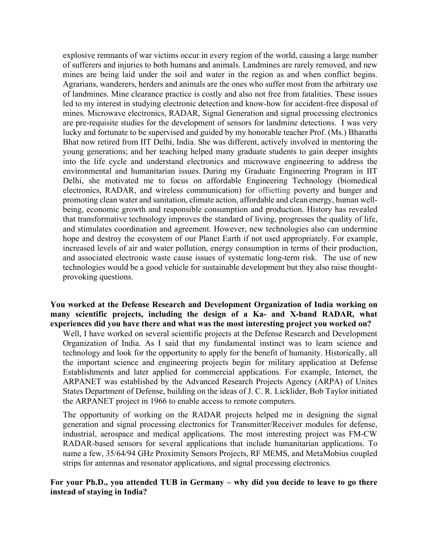explosive remnants of war victims occur in every region of the world, causing a large number of sufferers and injuries to both humans and animals. Landmines are rarely removed, and new mines are being laid under the soil and water in the region as and when conflict begins. Agrarians, wanderers, herders and animals are the ones who suffer most from the arbitrary use of landmines. Mine clearance practice is costly and also not free from fatalities. These issues led to my interest in studying electronic detection and know-how for accident-free disposal of mines. Microwave electronics, RADAR, Signal Generation and signal processing electronics are pre-requisite studies for the development of sensors for landmine detections. I was very lucky and fortunate to be supervised and guided by my honorable teacher Prof. (Ms.) Bharathi Bhat now retired from IIT Delhi, India. She was different, actively involved in mentoring the young generations; and her teaching helped many graduate students to gain deeper insights into the life cycle and understand electronics and microwave engineering to address the environmental and humanitarian issues. During my Graduate Engineering Program in IIT Delhi, she motivated me to focus on affordable Engineering Technology (biomedical electronics, RADAR, and wireless communication) for offsetting poverty and hunger and promoting clean water and sanitation, climate action, affordable and clean energy, human wellbeing, economic growth and responsible consumption and production. History has revealed that transformative technology improves the standard of living, progresses the quality of life, and stimulates coordination and agreement. However, new technologies also can undermine hope and destroy the ecosystem of our Planet Earth if not used appropriately. For example, increased levels of air and water pollution, energy consumption in terms of their production, and associated electronic waste cause issues of systematic long-term risk. The use of new technologies would be a good vehicle for sustainable development but they also raise thoughtprovoking questions.

#### **You worked at the Defense Research and Development Organization of India working on many scientific projects, including the design of a Ka- and X-band RADAR, what experiences did you have there and what was the most interesting project you worked on?**

Well, I have worked on several scientific projects at the Defense Research and Development Organization of India. As I said that my fundamental instinct was to learn science and technology and look for the opportunity to apply for the benefit of humanity. Historically, all the important science and engineering projects begin for military application at Defense Establishments and later applied for commercial applications. For example, Internet, the ARPANET was established by the Advanced Research Projects Agency (ARPA) of Unites States Department of Defense, building on the ideas of J. C. R. Licklider, Bob Taylor initiated the ARPANET project in 1966 to enable access to remote computers.

The opportunity of working on the RADAR projects helped me in designing the signal generation and signal processing electronics for Transmitter/Receiver modules for defense, industrial, aerospace and medical applications. The most interesting project was FM-CW RADAR-based sensors for several applications that include humanitarian applications. To name a few, 35/64/94 GHz Proximity Sensors Projects, RF MEMS, and MetaMobius coupled strips for antennas and resonator applications, and signal processing electronics.

## **For your Ph.D., you attended TUB in Germany – why did you decide to leave to go there instead of staying in India?**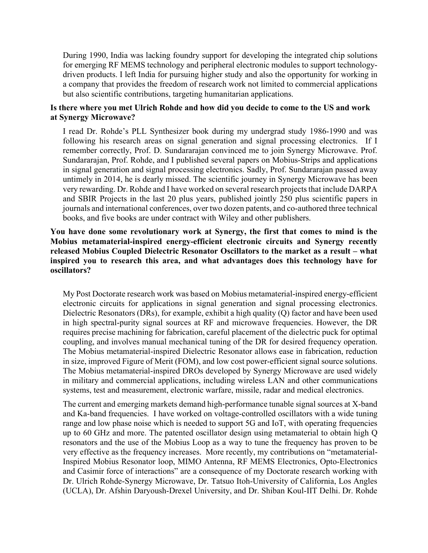During 1990, India was lacking foundry support for developing the integrated chip solutions for emerging RF MEMS technology and peripheral electronic modules to support technologydriven products. I left India for pursuing higher study and also the opportunity for working in a company that provides the freedom of research work not limited to commercial applications but also scientific contributions, targeting humanitarian applications.

## **Is there where you met Ulrich Rohde and how did you decide to come to the US and work at Synergy Microwave?**

I read Dr. Rohde's PLL Synthesizer book during my undergrad study 1986-1990 and was following his research areas on signal generation and signal processing electronics. If I remember correctly, Prof. D. Sundararajan convinced me to join Synergy Microwave. Prof. Sundararajan, Prof. Rohde, and I published several papers on Mobius-Strips and applications in signal generation and signal processing electronics. Sadly, Prof. Sundararajan passed away untimely in 2014, he is dearly missed. The scientific journey in Synergy Microwave has been very rewarding. Dr. Rohde and I have worked on several research projects that include DARPA and SBIR Projects in the last 20 plus years, published jointly 250 plus scientific papers in journals and international conferences, over two dozen patents, and co-authored three technical books, and five books are under contract with Wiley and other publishers.

# **You have done some revolutionary work at Synergy, the first that comes to mind is the Mobius metamaterial-inspired energy-efficient electronic circuits and Synergy recently released Mobius Coupled Dielectric Resonator Oscillators to the market as a result – what inspired you to research this area, and what advantages does this technology have for oscillators?**

My Post Doctorate research work was based on Mobius metamaterial-inspired energy-efficient electronic circuits for applications in signal generation and signal processing electronics. Dielectric Resonators (DRs), for example, exhibit a high quality (Q) factor and have been used in high spectral-purity signal sources at RF and microwave frequencies. However, the DR requires precise machining for fabrication, careful placement of the dielectric puck for optimal coupling, and involves manual mechanical tuning of the DR for desired frequency operation. The Mobius metamaterial-inspired Dielectric Resonator allows ease in fabrication, reduction in size, improved Figure of Merit (FOM), and low cost power-efficient signal source solutions. The Mobius metamaterial-inspired DROs developed by Synergy Microwave are used widely in military and commercial applications, including wireless LAN and other communications systems, test and measurement, electronic warfare, missile, radar and medical electronics.

The current and emerging markets demand high-performance tunable signal sources at X-band and Ka-band frequencies. I have worked on voltage-controlled oscillators with a wide tuning range and low phase noise which is needed to support 5G and IoT, with operating frequencies up to 60 GHz and more. The patented oscillator design using metamaterial to obtain high Q resonators and the use of the Mobius Loop as a way to tune the frequency has proven to be very effective as the frequency increases. More recently, my contributions on "metamaterial-Inspired Mobius Resonator loop, MIMO Antenna, RF MEMS Electronics, Opto-Electronics and Casimir force of interactions" are a consequence of my Doctorate research working with Dr. Ulrich Rohde-Synergy Microwave, Dr. Tatsuo Itoh-University of California, Los Angles (UCLA), Dr. Afshin Daryoush-Drexel University, and Dr. Shiban Koul-IIT Delhi. Dr. Rohde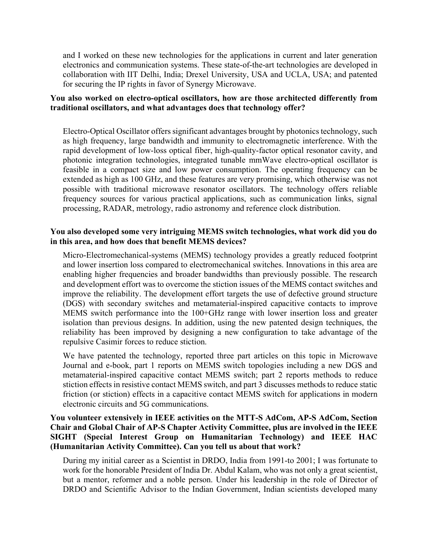and I worked on these new technologies for the applications in current and later generation electronics and communication systems. These state-of-the-art technologies are developed in collaboration with IIT Delhi, India; Drexel University, USA and UCLA, USA; and patented for securing the IP rights in favor of Synergy Microwave.

# **You also worked on electro-optical oscillators, how are those architected differently from traditional oscillators, and what advantages does that technology offer?**

Electro-Optical Oscillator offers significant advantages brought by photonics technology, such as high frequency, large bandwidth and immunity to electromagnetic interference. With the rapid development of low-loss optical fiber, high-quality-factor optical resonator cavity, and photonic integration technologies, integrated tunable mmWave electro-optical oscillator is feasible in a compact size and low power consumption. The operating frequency can be extended as high as 100 GHz, and these features are very promising, which otherwise was not possible with traditional microwave resonator oscillators. The technology offers reliable frequency sources for various practical applications, such as communication links, signal processing, RADAR, metrology, radio astronomy and reference clock distribution.

# **You also developed some very intriguing MEMS switch technologies, what work did you do in this area, and how does that benefit MEMS devices?**

Micro-Electromechanical-systems (MEMS) technology provides a greatly reduced footprint and lower insertion loss compared to electromechanical switches. Innovations in this area are enabling higher frequencies and broader bandwidths than previously possible. The research and development effort was to overcome the stiction issues of the MEMS contact switches and improve the reliability. The development effort targets the use of defective ground structure (DGS) with secondary switches and metamaterial-inspired capacitive contacts to improve MEMS switch performance into the 100+GHz range with lower insertion loss and greater isolation than previous designs. In addition, using the new patented design techniques, the reliability has been improved by designing a new configuration to take advantage of the repulsive Casimir forces to reduce stiction.

We have patented the technology, reported three part articles on this topic in Microwave Journal and e-book, part 1 reports on MEMS switch topologies including a new DGS and metamaterial-inspired capacitive contact MEMS switch; part 2 reports methods to reduce stiction effects in resistive contact MEMS switch, and part 3 discusses methods to reduce static friction (or stiction) effects in a capacitive contact MEMS switch for applications in modern electronic circuits and 5G communications.

# **You volunteer extensively in IEEE activities on the MTT-S AdCom, AP-S AdCom, Section Chair and Global Chair of AP-S Chapter Activity Committee, plus are involved in the IEEE SIGHT (Special Interest Group on Humanitarian Technology) and IEEE HAC (Humanitarian Activity Committee). Can you tell us about that work?**

During my initial career as a Scientist in DRDO, India from 1991-to 2001; I was fortunate to work for the honorable President of India Dr. Abdul Kalam, who was not only a great scientist, but a mentor, reformer and a noble person. Under his leadership in the role of Director of DRDO and Scientific Advisor to the Indian Government, Indian scientists developed many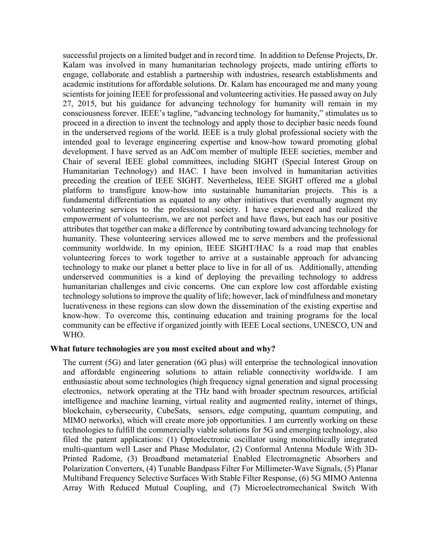successful projects on a limited budget and in record time. In addition to Defense Projects, Dr. Kalam was involved in many humanitarian technology projects, made untiring efforts to engage, collaborate and establish a partnership with industries, research establishments and academic institutions for affordable solutions. Dr. Kalam has encouraged me and many young scientists for joining IEEE for professional and volunteering activities. He passed away on July 27, 2015, but his guidance for advancing technology for humanity will remain in my consciousness forever. IEEE's tagline, "advancing technology for humanity," stimulates us to proceed in a direction to invent the technology and apply those to decipher basic needs found in the underserved regions of the world. IEEE is a truly global professional society with the intended goal to leverage engineering expertise and know-how toward promoting global development. I have served as an AdCom member of multiple IEEE societies, member and Chair of several IEEE global committees, including SIGHT (Special Interest Group on Humanitarian Technology) and HAC. I have been involved in humanitarian activities preceding the creation of IEEE SIGHT. Nevertheless, IEEE SIGHT offered me a global platform to transfigure know-how into sustainable humanitarian projects. This is a fundamental differentiation as equated to any other initiatives that eventually augment my volunteering services to the professional society. I have experienced and realized the empowerment of volunteerism, we are not perfect and have flaws, but each has our positive attributes that together can make a difference by contributing toward advancing technology for humanity. These volunteering services allowed me to serve members and the professional community worldwide. In my opinion, IEEE SIGHT/HAC Is a road map that enables volunteering forces to work together to arrive at a sustainable approach for advancing technology to make our planet a better place to live in for all of us. Additionally, attending underserved communities is a kind of deploying the prevailing technology to address humanitarian challenges and civic concerns. One can explore low cost affordable existing technology solutions to improve the quality of life; however, lack of mindfulness and monetary lucrativeness in these regions can slow down the dissemination of the existing expertise and know-how. To overcome this, continuing education and training programs for the local community can be effective if organized jointly with IEEE Local sections, UNESCO, UN and WHO.

#### **What future technologies are you most excited about and why?**

The current (5G) and later generation (6G plus) will enterprise the technological innovation and affordable engineering solutions to attain reliable connectivity worldwide. I am enthusiastic about some technologies (high frequency signal generation and signal processing electronics, network operating at the THz band with broader spectrum resources, artificial intelligence and machine learning, virtual reality and augmented reality, internet of things, blockchain, cybersecurity, CubeSats, sensors, edge computing, quantum computing, and MIMO networks), which will create more job opportunities. I am currently working on these technologies to fulfill the commercially viable solutions for 5G and emerging technology, also filed the patent applications: (1) Optoelectronic oscillator using monolithically integrated multi-quantum well Laser and Phase Modulator, (2) Conformal Antenna Module With 3D-Printed Radome, (3) Broadband metamaterial Enabled Electromagnetic Absorbers and Polarization Converters, (4) Tunable Bandpass Filter For Millimeter-Wave Signals, (5) Planar Multiband Frequency Selective Surfaces With Stable Filter Response, (6) 5G MIMO Antenna Array With Reduced Mutual Coupling, and (7) Microelectromechanical Switch With